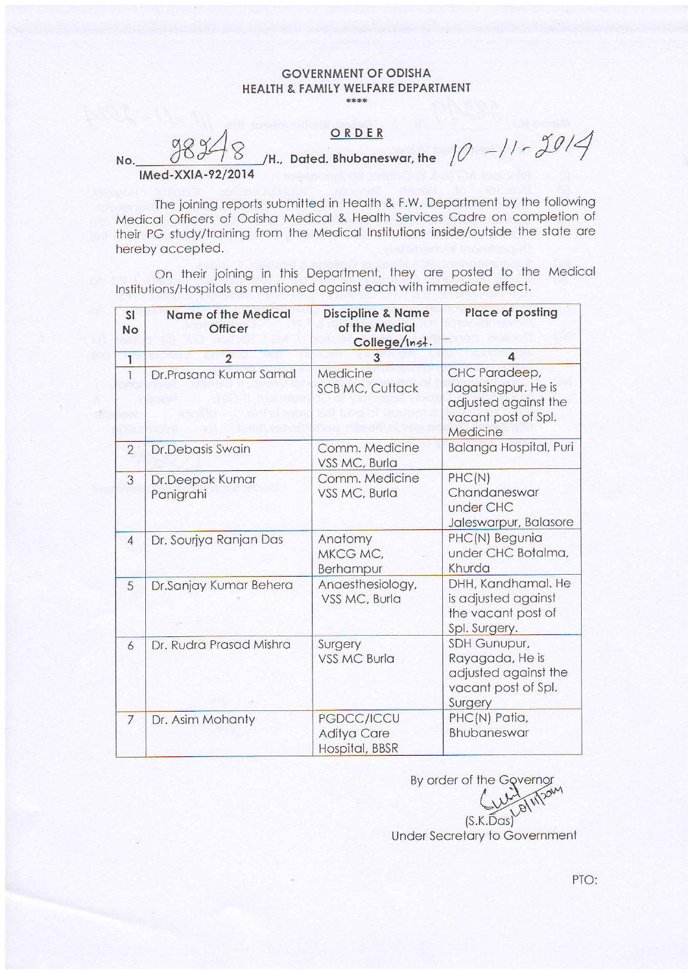## **GOVERNMENT OF ODISHA** HEALTH & FAMILY WELFARE DEPARTMENT \*\*\*\*

## ORDER

/H., Dated. Bhubaneswar, the  $10 - 11 - 2014$ 

## No. IMed-XXIA-92/2014

The joining reports submitted in Health & F.W. Department by the following Medical Officers of Odisha Medical & Health Services Cadre on completion of their PG study/training from the Medical Institutions inside/outside the state are hereby accepted.

On their joining in this Department, they are posted to the Medical Institutions/Hospitals as mentioned against each with immediate effect.

| <b>SI</b><br><b>No</b> | <b>Name of the Medical</b><br><b>Officer</b> | <b>Discipline &amp; Name</b><br>of the Medial<br>College/Inst. | Place of posting                                                                                |
|------------------------|----------------------------------------------|----------------------------------------------------------------|-------------------------------------------------------------------------------------------------|
| $\mathbf{1}$           | $\overline{2}$                               | 3                                                              | 4                                                                                               |
| 1                      | Dr.Prasana Kumar Samal                       | Medicine<br><b>SCB MC, Cuttack</b>                             | CHC Paradeep,<br>Jagatsingpur. He is<br>adjusted against the<br>vacant post of Spl.<br>Medicine |
| $\overline{2}$         | Dr.Debasis Swain                             | Comm. Medicine<br>VSS MC, Burla                                | Balanga Hospital, Puri                                                                          |
| 3                      | Dr.Deepak Kumar<br>Panigrahi                 | Comm. Medicine<br>VSS MC, Burla                                | PHC(N)<br>Chandaneswar<br>under CHC<br>Jaleswarpur, Balasore                                    |
| $\overline{4}$         | Dr. Souriya Ranjan Das                       | Anatomy<br>MKCG MC,<br>Berhampur                               | PHC(N) Begunia<br>under CHC Botalma,<br>Khurda                                                  |
| 5                      | Dr.Sanjay Kumar Behera                       | Anaesthesiology,<br>VSS MC, Burla                              | DHH, Kandhamal. He<br>is adjusted against<br>the vacant post of<br>Spl. Surgery.                |
| 6                      | Dr. Rudra Prasad Mishra                      | Surgery<br><b>VSS MC Burla</b>                                 | SDH Gunupur,<br>Rayagada, He is<br>adjusted against the<br>vacant post of Spl.<br>Surgery       |
| $\overline{7}$         | Dr. Asim Mohanty                             | PGDCC/ICCU<br><b>Aditya Care</b><br>Hospital, BBSR             | PHC(N) Patia,<br>Bhubaneswar                                                                    |

By order of the Governor  $(S.K.\overline{D}as)$ **Under Secretary to Government** 

PTO: